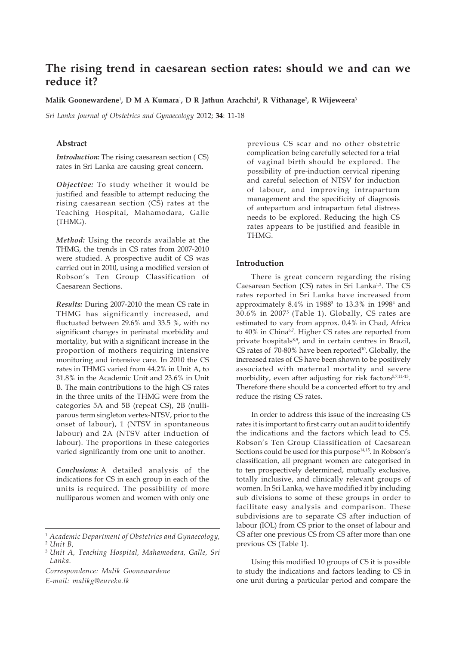# **The rising trend in caesarean section rates: should we and can we reduce it?**

**Malik Goonewardene**<sup>1</sup> **, D M A Kumara**<sup>1</sup> **, D R Jathun Arachchi**<sup>1</sup> **, R Vithanage**<sup>2</sup> **, R Wijeweera**<sup>3</sup>

*Sri Lanka Journal of Obstetrics and Gynaecology* 2012; **34**: 11-18

## **Abstract**

*Introduction:* The rising caesarean section ( CS) rates in Sri Lanka are causing great concern.

*Objective:* To study whether it would be justified and feasible to attempt reducing the rising caesarean section (CS) rates at the Teaching Hospital, Mahamodara, Galle (THMG).

*Method:* Using the records available at the THMG, the trends in CS rates from 2007-2010 were studied. A prospective audit of CS was carried out in 2010, using a modified version of Robson's Ten Group Classification of Caesarean Sections.

*Results:* During 2007-2010 the mean CS rate in THMG has significantly increased, and fluctuated between 29.6% and 33.5 %, with no significant changes in perinatal morbidity and mortality, but with a significant increase in the proportion of mothers requiring intensive monitoring and intensive care. In 2010 the CS rates in THMG varied from 44.2% in Unit A, to 31.8% in the Academic Unit and 23.6% in Unit B. The main contributions to the high CS rates in the three units of the THMG were from the categories 5A and 5B (repeat CS), 2B (nulliparous term singleton vertex-NTSV, prior to the onset of labour), 1 (NTSV in spontaneous labour) and 2A (NTSV after induction of labour). The proportions in these categories varied significantly from one unit to another.

*Conclusions:* A detailed analysis of the indications for CS in each group in each of the units is required. The possibility of more nulliparous women and women with only one

*Correspondence: Malik Goonewardene E-mail: malikg@eureka.lk*

previous CS scar and no other obstetric complication being carefully selected for a trial of vaginal birth should be explored. The possibility of pre-induction cervical ripening and careful selection of NTSV for induction of labour, and improving intrapartum management and the specificity of diagnosis of antepartum and intrapartum fetal distress needs to be explored. Reducing the high CS rates appears to be justified and feasible in THMG.

## **Introduction**

There is great concern regarding the rising Caesarean Section (CS) rates in Sri Lanka<sup>1,2</sup>. The CS rates reported in Sri Lanka have increased from approximately 8.4% in 1988<sup>3</sup> to 13.3% in 1998<sup>4</sup> and 30.6% in 20075 (Table 1). Globally, CS rates are estimated to vary from approx. 0.4% in Chad, Africa to 40% in China<sup>6,7</sup>. Higher CS rates are reported from private hospitals<sup>8,9</sup>, and in certain centres in Brazil, CS rates of  $70-80\%$  have been reported<sup>10</sup>. Globally, the increased rates of CS have been shown to be positively associated with maternal mortality and severe morbidity, even after adjusting for risk factors<sup>5,7,11-13</sup>. Therefore there should be a concerted effort to try and reduce the rising CS rates.

In order to address this issue of the increasing CS rates it is important to first carry out an audit to identify the indications and the factors which lead to CS. Robson's Ten Group Classification of Caesarean Sections could be used for this purpose<sup>14,15</sup>. In Robson's classification, all pregnant women are categorised in to ten prospectively determined, mutually exclusive, totally inclusive, and clinically relevant groups of women. In Sri Lanka, we have modified it by including sub divisions to some of these groups in order to facilitate easy analysis and comparison. These subdivisions are to separate CS after induction of labour (IOL) from CS prior to the onset of labour and CS after one previous CS from CS after more than one previous CS (Table 1).

Using this modified 10 groups of CS it is possible to study the indications and factors leading to CS in one unit during a particular period and compare the

<sup>1</sup> *Academic Department of Obstetrics and Gynaecology,* <sup>2</sup> *Unit B,*

<sup>3</sup> *Unit A, Teaching Hospital, Mahamodara, Galle, Sri Lanka.*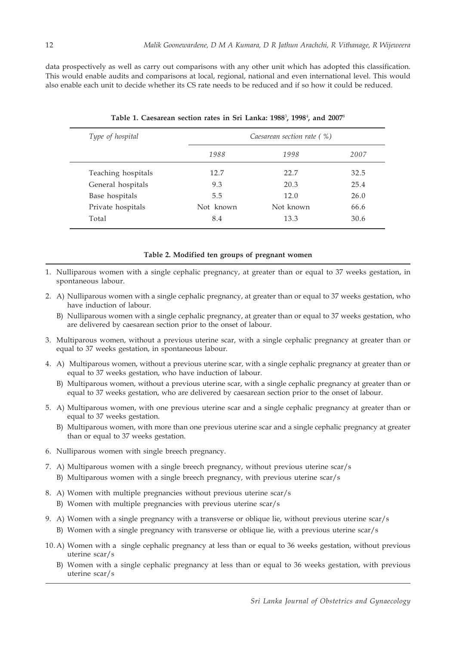data prospectively as well as carry out comparisons with any other unit which has adopted this classification. This would enable audits and comparisons at local, regional, national and even international level. This would also enable each unit to decide whether its CS rate needs to be reduced and if so how it could be reduced.

| Type of hospital   | Caesarean section rate (%) |           |      |  |  |
|--------------------|----------------------------|-----------|------|--|--|
|                    | 1988                       | 1998      | 2007 |  |  |
| Teaching hospitals | 12.7                       | 22.7      | 32.5 |  |  |
| General hospitals  | 9.3                        | 20.3      | 25.4 |  |  |
| Base hospitals     | 5.5                        | 12.0      | 26.0 |  |  |
| Private hospitals  | Not known                  | Not known | 66.6 |  |  |
| Total              | 8.4                        | 13.3      | 30.6 |  |  |

**Table 1. Caesarean section rates in Sri Lanka: 1988**<sup>3</sup> **, 1998**<sup>4</sup> **, and 2007**<sup>8</sup>

### **Table 2. Modified ten groups of pregnant women**

- 1. Nulliparous women with a single cephalic pregnancy, at greater than or equal to 37 weeks gestation, in spontaneous labour.
- 2. A) Nulliparous women with a single cephalic pregnancy, at greater than or equal to 37 weeks gestation, who have induction of labour.
	- B) Nulliparous women with a single cephalic pregnancy, at greater than or equal to 37 weeks gestation, who are delivered by caesarean section prior to the onset of labour.
- 3. Multiparous women, without a previous uterine scar, with a single cephalic pregnancy at greater than or equal to 37 weeks gestation, in spontaneous labour.
- 4. A) Multiparous women, without a previous uterine scar, with a single cephalic pregnancy at greater than or equal to 37 weeks gestation, who have induction of labour.
	- B) Multiparous women, without a previous uterine scar, with a single cephalic pregnancy at greater than or equal to 37 weeks gestation, who are delivered by caesarean section prior to the onset of labour.
- 5. A) Multiparous women, with one previous uterine scar and a single cephalic pregnancy at greater than or equal to 37 weeks gestation.
	- B) Multiparous women, with more than one previous uterine scar and a single cephalic pregnancy at greater than or equal to 37 weeks gestation.
- 6. Nulliparous women with single breech pregnancy.
- 7. A) Multiparous women with a single breech pregnancy, without previous uterine scar/s
	- B) Multiparous women with a single breech pregnancy, with previous uterine scar/s
- 8. A) Women with multiple pregnancies without previous uterine scar/s
	- B) Women with multiple pregnancies with previous uterine scar/s
- 9. A) Women with a single pregnancy with a transverse or oblique lie, without previous uterine scar/s
	- B) Women with a single pregnancy with transverse or oblique lie, with a previous uterine scar/s
- 10. A) Women with a single cephalic pregnancy at less than or equal to 36 weeks gestation, without previous uterine scar/s
	- B) Women with a single cephalic pregnancy at less than or equal to 36 weeks gestation, with previous uterine scar/s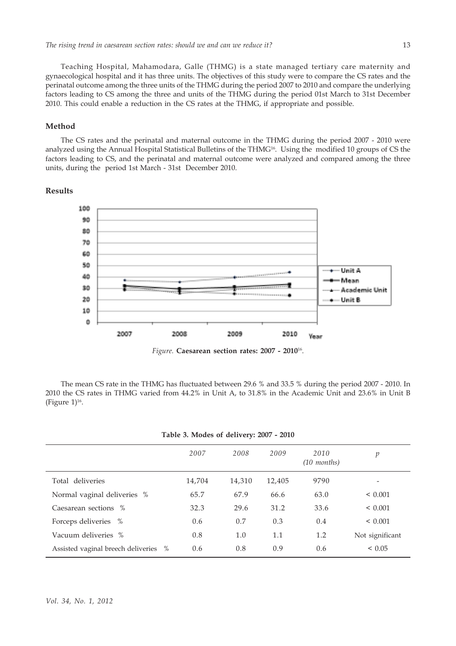Teaching Hospital, Mahamodara, Galle (THMG) is a state managed tertiary care maternity and gynaecological hospital and it has three units. The objectives of this study were to compare the CS rates and the perinatal outcome among the three units of the THMG during the period 2007 to 2010 and compare the underlying factors leading to CS among the three and units of the THMG during the period 01st March to 31st December 2010. This could enable a reduction in the CS rates at the THMG, if appropriate and possible.

# **Method**

The CS rates and the perinatal and maternal outcome in the THMG during the period 2007 - 2010 were analyzed using the Annual Hospital Statistical Bulletins of the THMG<sup>16</sup>. Using the modified 10 groups of CS the factors leading to CS, and the perinatal and maternal outcome were analyzed and compared among the three units, during the period 1st March - 31st December 2010.

# **Results**



The mean CS rate in the THMG has fluctuated between 29.6 % and 33.5 % during the period 2007 - 2010. In 2010 the CS rates in THMG varied from 44.2% in Unit A, to 31.8% in the Academic Unit and 23.6% in Unit B (Figure  $1$ )<sup>16</sup>.

|  |  | Table 3. Modes of delivery: 2007 - 2010 |  |  |
|--|--|-----------------------------------------|--|--|
|--|--|-----------------------------------------|--|--|

|                                            | 2007   | 2008   | 2009   | 2010<br>$(10 \text{ months})$ | p               |
|--------------------------------------------|--------|--------|--------|-------------------------------|-----------------|
| Total deliveries                           | 14,704 | 14,310 | 12,405 | 9790                          | -               |
| Normal vaginal deliveries %                | 65.7   | 67.9   | 66.6   | 63.0                          | $\leq 0.001$    |
| Caesarean sections %                       | 32.3   | 29.6   | 31.2   | 33.6                          | ${}< 0.001$     |
| Forceps deliveries %                       | 0.6    | 0.7    | 0.3    | 0.4                           | < 0.001         |
| Vacuum deliveries %                        | 0.8    | 1.0    | 1.1    | 1.2                           | Not significant |
| Assisted vaginal breech deliveries<br>$\%$ | 0.6    | 0.8    | 0.9    | 0.6                           | < 0.05          |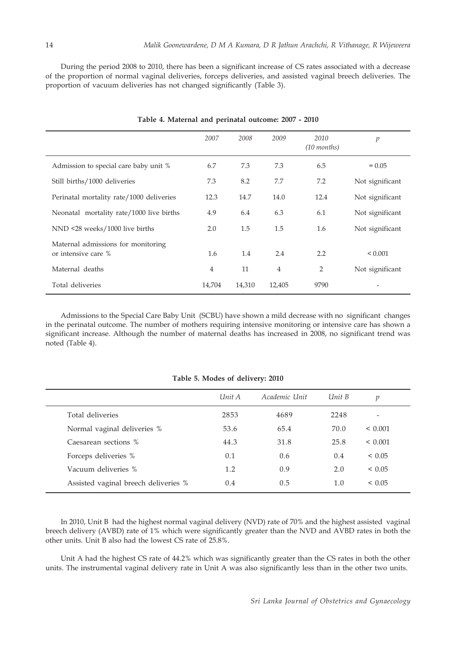During the period 2008 to 2010, there has been a significant increase of CS rates associated with a decrease of the proportion of normal vaginal deliveries, forceps deliveries, and assisted vaginal breech deliveries. The proportion of vacuum deliveries has not changed significantly (Table 3).

|                                                           | 2007           | 2008   | 2009           | 2010<br>$(10 \text{ months})$ | $\boldsymbol{p}$ |
|-----------------------------------------------------------|----------------|--------|----------------|-------------------------------|------------------|
| Admission to special care baby unit %                     | 6.7            | 7.3    | 7.3            | 6.5                           | $= 0.05$         |
| Still births/1000 deliveries                              | 7.3            | 8.2    | 7.7            | 7.2                           | Not significant  |
| Perinatal mortality rate/1000 deliveries                  | 12.3           | 14.7   | 14.0           | 12.4                          | Not significant  |
| Neonatal mortality rate/1000 live births                  | 4.9            | 6.4    | 6.3            | 6.1                           | Not significant  |
| NND <28 weeks/1000 live births                            | 2.0            | 1.5    | 1.5            | 1.6                           | Not significant  |
| Maternal admissions for monitoring<br>or intensive care % | 1.6            | 1.4    | 2.4            | 2.2                           | ${}_{0.001}$     |
| Maternal deaths                                           | $\overline{4}$ | 11     | $\overline{4}$ | $\overline{2}$                | Not significant  |
| Total deliveries                                          | 14,704         | 14,310 | 12,405         | 9790                          |                  |

## **Table 4. Maternal and perinatal outcome: 2007 - 2010**

Admissions to the Special Care Baby Unit (SCBU) have shown a mild decrease with no significant changes in the perinatal outcome. The number of mothers requiring intensive monitoring or intensive care has shown a significant increase. Although the number of maternal deaths has increased in 2008, no significant trend was noted (Table 4).

|                                      | Unit A | Academic Unit | Unit B | p            |
|--------------------------------------|--------|---------------|--------|--------------|
| Total deliveries                     | 2853   | 4689          | 2248   |              |
| Normal vaginal deliveries %          | 53.6   | 65.4          | 70.0   | $\leq 0.001$ |
| Caesarean sections %                 | 44.3   | 31.8          | 25.8   | $\leq 0.001$ |
| Forceps deliveries %                 | 0.1    | 0.6           | 0.4    | < 0.05       |
| Vacuum deliveries %                  | 1.2    | 0.9           | 2.0    | < 0.05       |
| Assisted vaginal breech deliveries % | 0.4    | 0.5           | 1.0    | < 0.05       |

**Table 5. Modes of delivery: 2010**

In 2010, Unit B had the highest normal vaginal delivery (NVD) rate of 70% and the highest assisted vaginal breech delivery (AVBD) rate of 1% which were significantly greater than the NVD and AVBD rates in both the other units. Unit B also had the lowest CS rate of 25.8%.

Unit A had the highest CS rate of 44.2% which was significantly greater than the CS rates in both the other units. The instrumental vaginal delivery rate in Unit A was also significantly less than in the other two units.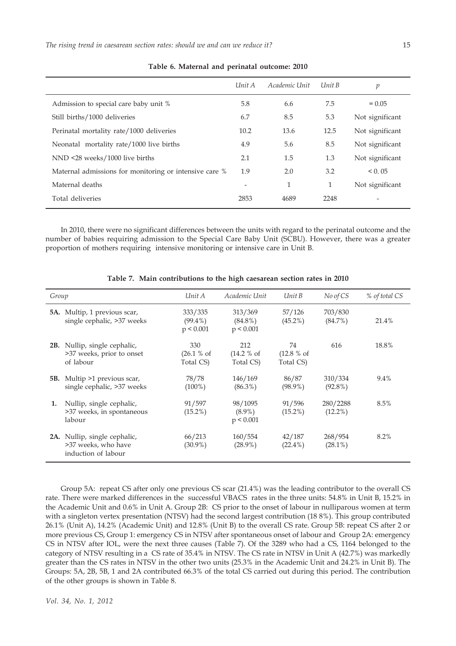|                                                        | Unit A                       | Academic Unit | Unit B | р               |
|--------------------------------------------------------|------------------------------|---------------|--------|-----------------|
| Admission to special care baby unit %                  | 5.8                          | 6.6           | 7.5    | $= 0.05$        |
| Still births/1000 deliveries                           | 6.7                          | 8.5           | 5.3    | Not significant |
| Perinatal mortality rate/1000 deliveries               | 10.2                         | 13.6          | 12.5   | Not significant |
| Neonatal mortality rate/1000 live births               | 4.9                          | 5.6           | 8.5    | Not significant |
| NND <28 weeks/1000 live births                         | 2.1                          | 1.5           | 1.3    | Not significant |
| Maternal admissions for monitoring or intensive care % | 1.9                          | 2.0           | 3.2    | < 0.05          |
| Maternal deaths                                        | $\qquad \qquad \blacksquare$ | 1             | 1      | Not significant |
| Total deliveries                                       | 2853                         | 4689          | 2248   |                 |

**Table 6. Maternal and perinatal outcome: 2010**

In 2010, there were no significant differences between the units with regard to the perinatal outcome and the number of babies requiring admission to the Special Care Baby Unit (SCBU). However, there was a greater proportion of mothers requiring intensive monitoring or intensive care in Unit B.

| Group |                                                                               | Unit A                             | Academic Unit                      | Unit B                        | No of CS               | % of total CS |
|-------|-------------------------------------------------------------------------------|------------------------------------|------------------------------------|-------------------------------|------------------------|---------------|
|       | <b>5A.</b> Multip, 1 previous scar,<br>single cephalic, >37 weeks             | 333/335<br>$(99.4\%)$<br>p < 0.001 | 313/369<br>$(84.8\%)$<br>p < 0.001 | 57/126<br>$(45.2\%)$          | 703/830<br>$(84.7\%)$  | 21.4%         |
|       | <b>2B.</b> Nullip, single cephalic,<br>>37 weeks, prior to onset<br>of labour | 330<br>(26.1 % of<br>Total CS)     | 212<br>(14.2 % of<br>Total CS)     | 74<br>(12.8 % of<br>Total CS) | 616                    | 18.8%         |
|       | <b>5B.</b> Multip >1 previous scar,<br>single cephalic, >37 weeks             | 78/78<br>$(100\%)$                 | 146/169<br>$(86.3\%)$              | 86/87<br>$(98.9\%)$           | 310/334<br>$(92.8\%)$  | 9.4%          |
| 1.    | Nullip, single cephalic,<br>>37 weeks, in spontaneous<br>labour               | 91/597<br>$(15.2\%)$               | 98/1095<br>$(8.9\%)$<br>p < 0.001  | 91/596<br>$(15.2\%)$          | 280/2288<br>$(12.2\%)$ | 8.5%          |
|       | 2A. Nullip, single cephalic,<br>>37 weeks, who have<br>induction of labour    | 66/213<br>$(30.9\%)$               | 160/554<br>$(28.9\%)$              | 42/187<br>$(22.4\%)$          | 268/954<br>$(28.1\%)$  | 8.2%          |

**Table 7. Main contributions to the high caesarean section rates in 2010**

Group 5A: repeat CS after only one previous CS scar (21.4%) was the leading contributor to the overall CS rate. There were marked differences in the successful VBACS rates in the three units: 54.8% in Unit B, 15.2% in the Academic Unit and 0.6% in Unit A. Group 2B: CS prior to the onset of labour in nulliparous women at term with a singleton vertex presentation (NTSV) had the second largest contribution (18 8%). This group contributed 26.1% (Unit A), 14.2% (Academic Unit) and 12.8% (Unit B) to the overall CS rate. Group 5B: repeat CS after 2 or more previous CS, Group 1: emergency CS in NTSV after spontaneous onset of labour and Group 2A: emergency CS in NTSV after IOL, were the next three causes (Table 7). Of the 3289 who had a CS, 1164 belonged to the category of NTSV resulting in a CS rate of 35.4% in NTSV. The CS rate in NTSV in Unit A (42.7%) was markedly greater than the CS rates in NTSV in the other two units (25.3% in the Academic Unit and 24.2% in Unit B). The Groups: 5A, 2B, 5B, 1 and 2A contributed 66.3% of the total CS carried out during this period. The contribution of the other groups is shown in Table 8.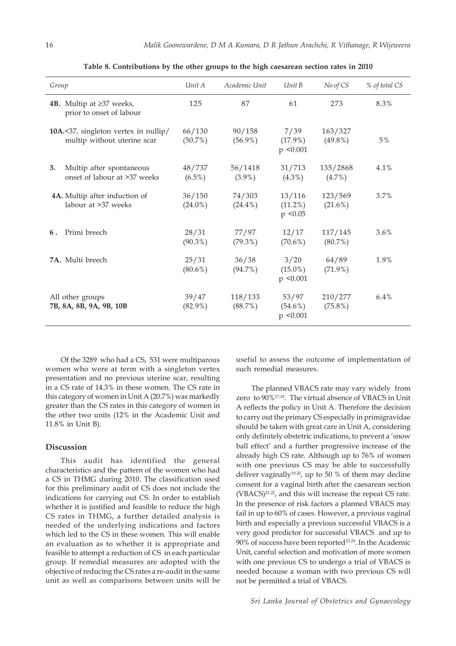| Group                                                               | Unit A               | Academic Unit        | Unit B                               | No of CS              | % of total CS |
|---------------------------------------------------------------------|----------------------|----------------------|--------------------------------------|-----------------------|---------------|
| 4B. Multip at $\geq$ 37 weeks,<br>prior to onset of labour          | 125                  | 87                   | 61                                   | 273                   | 8.3%          |
| 10A.<37, singleton vertex in nullip/<br>multip without uterine scar | 66/130<br>$(50.7\%)$ | 90/158<br>$(56.9\%)$ | 7/39<br>$(17.9\%)$<br>$p \le 0.001$  | 163/327<br>$(49.8\%)$ | $5\%$         |
| Multip after spontaneous<br>3.<br>onset of labour at >37 weeks      | 48/737<br>$(6.5\%)$  | 56/1418<br>$(3.9\%)$ | 31/713<br>$(4.3\%)$                  | 135/2868<br>$(4.7\%)$ | 4.1%          |
| 4A. Multip after induction of<br>labour at >37 weeks                | 36/150<br>$(24.0\%)$ | 74/303<br>$(24.4\%)$ | 13/116<br>$(11.2\%)$<br>$p \le 0.05$ | 123/569<br>$(21.6\%)$ | 3.7%          |
| Primi breech<br>6.                                                  | 28/31<br>$(90.3\%)$  | 77/97<br>$(79.3\%)$  | 12/17<br>$(70.6\%)$                  | 117/145<br>$(80.7\%)$ | $3.6\%$       |
| 7A. Multi breech                                                    | 25/31<br>$(80.6\%)$  | 36/38<br>$(94.7\%)$  | 3/20<br>$(15.0\%)$<br>$p \le 0.001$  | 64/89<br>$(71.9\%)$   | 1.9%          |
| All other groups<br>7B, 8A, 8B, 9A, 9B, 10B                         | 39/47<br>$(82.9\%)$  | 118/133<br>(88.7%)   | 53/97<br>$(54.6\%)$<br>$p \le 0.001$ | 210/277<br>$(75.8\%)$ | 6.4%          |

**Table 8. Contributions by the other groups to the high caesarean section rates in 2010**

Of the 3289 who had a CS, 531 were multiparous women who were at term with a singleton vertex presentation and no previous uterine scar, resulting in a CS rate of 14.3% in these women. The CS rate in this category of women in Unit A (20.7%) was markedly greater than the CS rates in this category of women in the other two units (12% in the Academic Unit and 11.8% in Unit B).

### **Discussion**

This audit has identified the general characteristics and the pattern of the women who had a CS in THMG during 2010. The classification used for this preliminary audit of CS does not include the indications for carrying out CS. In order to establish whether it is justified and feasible to reduce the high CS rates in THMG, a further detailed analysis is needed of the underlying indications and factors which led to the CS in these women. This will enable an evaluation as to whether it is appropriate and feasible to attempt a reduction of CS in each particular group. If remedial measures are adopted with the objective of reducing the CS rates a re-audit in the same unit as well as comparisons between units will be useful to assess the outcome of implementation of such remedial measures.

The planned VBACS rate may vary widely from zero to 90%17,18. The virtual absence of VBACS in Unit A reflects the policy in Unit A. Therefore the decision to carry out the primary CS especially in primigravidae should be taken with great care in Unit A, considering only definitely obstetric indications, to prevent a 'snow ball effect' and a further progressive increase of the already high CS rate. Although up to 76% of women with one previous CS may be able to successfully deliver vaginally<sup>19,20</sup>, up to 50 % of them may decline consent for a vaginal birth after the caesarean section  $(VBACS)^{21,22}$ , and this will increase the repeat CS rate. In the presence of risk factors a planned VBACS may fail in up to 60% of cases. However, a previous vaginal birth and especially a previous successful VBACS is a very good predictor for successful VBACS and up to  $90\%$  of success have been reported<sup>23,24</sup>. In the Academic Unit, careful selection and motivation of more women with one previous CS to undergo a trial of VBACS is needed because a woman with two previous CS will not be permitted a trial of VBACS.

*Sri Lanka Journal of Obstetrics and Gynaecology*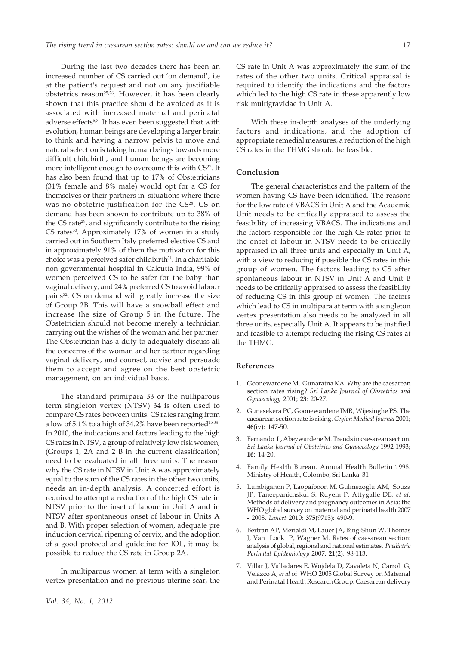17

During the last two decades there has been an increased number of CS carried out 'on demand', i.e at the patient's request and not on any justifiable obstetrics reason<sup>25,26</sup>. However, it has been clearly shown that this practice should be avoided as it is associated with increased maternal and perinatal adverse effects<sup>5,7</sup>. It has even been suggested that with evolution, human beings are developing a larger brain to think and having a narrow pelvis to move and natural selection is taking human beings towards more difficult childbirth, and human beings are becoming more intelligent enough to overcome this with CS<sup>27</sup>. It has also been found that up to 17% of Obstetricians (31% female and 8% male) would opt for a CS for themselves or their partners in situations where there was no obstetric justification for the CS<sup>28</sup>. CS on demand has been shown to contribute up to 38% of the CS rate<sup>29</sup>, and significantly contribute to the rising CS rates<sup>30</sup>. Approximately 17% of women in a study carried out in Southern Italy preferred elective CS and in approximately 91% of them the motivation for this choice was a perceived safer childbirth<sup>31</sup>. In a charitable non governmental hospital in Calcutta India, 99% of women perceived CS to be safer for the baby than vaginal delivery, and 24% preferred CS to avoid labour pains<sup>32</sup>. CS on demand will greatly increase the size of Group 2B. This will have a snowball effect and increase the size of Group 5 in the future. The Obstetrician should not become merely a technician carrying out the wishes of the woman and her partner. The Obstetrician has a duty to adequately discuss all the concerns of the woman and her partner regarding vaginal delivery, and counsel, advise and persuade them to accept and agree on the best obstetric management, on an individual basis.

The standard primipara 33 or the nulliparous term singleton vertex (NTSV) 34 is often used to compare CS rates between units. CS rates ranging from a low of  $5.1\%$  to a high of 34.2% have been reported<sup>15,34</sup>. In 2010, the indications and factors leading to the high CS rates in NTSV, a group of relatively low risk women, (Groups 1, 2A and 2 B in the current classification) need to be evaluated in all three units. The reason why the CS rate in NTSV in Unit A was approximately equal to the sum of the CS rates in the other two units, needs an in-depth analysis. A concerted effort is required to attempt a reduction of the high CS rate in NTSV prior to the inset of labour in Unit A and in NTSV after spontaneous onset of labour in Units A and B. With proper selection of women, adequate pre induction cervical ripening of cervix, and the adoption of a good protocol and guideline for IOL, it may be possible to reduce the CS rate in Group 2A.

In multiparous women at term with a singleton vertex presentation and no previous uterine scar, the CS rate in Unit A was approximately the sum of the rates of the other two units. Critical appraisal is required to identify the indications and the factors which led to the high CS rate in these apparently low risk multigravidae in Unit A.

With these in-depth analyses of the underlying factors and indications, and the adoption of appropriate remedial measures, a reduction of the high CS rates in the THMG should be feasible.

## **Conclusion**

The general characteristics and the pattern of the women having CS have been identified. The reasons for the low rate of VBACS in Unit A and the Academic Unit needs to be critically appraised to assess the feasibility of increasing VBACS. The indications and the factors responsible for the high CS rates prior to the onset of labour in NTSV needs to be critically appraised in all three units and especially in Unit A, with a view to reducing if possible the CS rates in this group of women. The factors leading to CS after spontaneous labour in NTSV in Unit A and Unit B needs to be critically appraised to assess the feasibility of reducing CS in this group of women. The factors which lead to CS in multipara at term with a singleton vertex presentation also needs to be analyzed in all three units, especially Unit A. It appears to be justified and feasible to attempt reducing the rising CS rates at the THMG.

### **References**

- 1. Goonewardene M, Gunaratna KA. Why are the caesarean section rates rising? *Sri Lanka Journal of Obstetrics and Gynaecology* 2001; **23**: 20-27.
- 2. Gunasekera PC, Goonewardene IMR, Wijesinghe PS. The caesarean section rate is rising. *Ceylon Medical Journal* 2001; **46**(iv): 147-50.
- 3. Fernando L, Abeywardene M. Trends in caesarean section. *Sri Lanka Journal of Obstetrics and Gynaecology* 1992-1993; **16**: 14-20.
- 4. Family Health Bureau. Annual Health Bulletin 1998. Ministry of Health, Colombo, Sri Lanka. 31
- 5. Lumbiganon P, Laopaiboon M, Gulmezoglu AM, Souza JP, Taneepanichskul S, Ruyem P, Attygalle DE, *et al*. Methods of delivery and pregnancy outcomes in Asia: the WHO global survey on maternal and perinatal health 2007 - 2008. *Lancet* 2010; **375**(9713): 490-9.
- 6. Bertran AP, Merialdi M, Lauer JA, Bing-Shun W, Thomas J, Van Look P, Wagner M. Rates of caesarean section: analysis of global, regional and national estimates. *Paediatric Perinatal Epidemiology* 2007; **21**(2): 98-113.
- 7. Villar J, Valladares E, Wojdela D, Zavaleta N, Carroli G, Velazco A, *et al* of WHO 2005 Global Survey on Maternal and Perinatal Health Research Group. Caesarean delivery